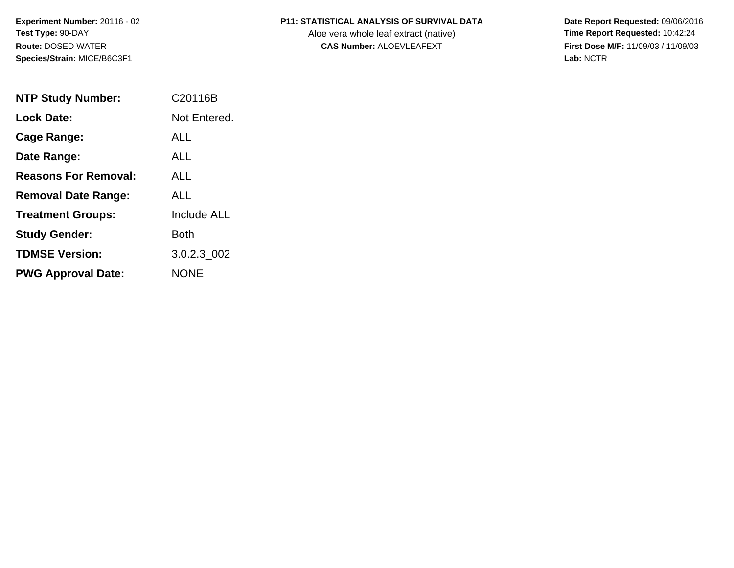**Experiment Number:** 20116 - 02**Test Type:** 90-DAY**Route:** DOSED WATER**Species/Strain:** MICE/B6C3F1

## **P11: STATISTICAL ANALYSIS OF SURVIVAL DATA**

Aloe vera whole leaf extract (native)<br>**CAS Number:** ALOEVLEAFEXT

 **Date Report Requested:** 09/06/2016 **First Dose M/F:** 11/09/03 / 11/09/03<br>Lab: NCTR **Lab:** NCTR

| <b>NTP Study Number:</b>    | C <sub>20116</sub> B |
|-----------------------------|----------------------|
| <b>Lock Date:</b>           | Not Entered.         |
| <b>Cage Range:</b>          | ALL                  |
| Date Range:                 | AI I                 |
| <b>Reasons For Removal:</b> | ALL.                 |
| <b>Removal Date Range:</b>  | ALL                  |
| <b>Treatment Groups:</b>    | <b>Include ALL</b>   |
| <b>Study Gender:</b>        | <b>Both</b>          |
| <b>TDMSE Version:</b>       | 3.0.2.3 002          |
| <b>PWG Approval Date:</b>   | <b>NONE</b>          |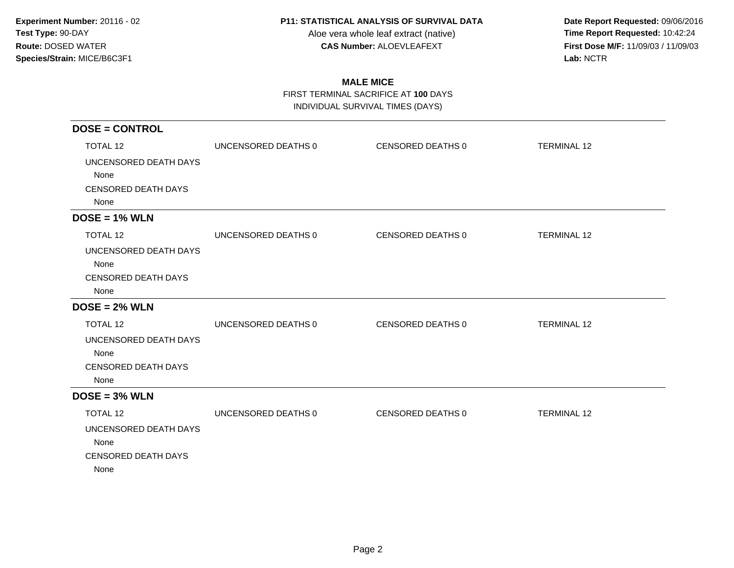Aloe vera whole leaf extract (native)<br>**CAS Number:** ALOEVLEAFEXT

 **Date Report Requested:** 09/06/2016 **First Dose M/F:** 11/09/03 / 11/09/03<br>Lab: NCTR **Lab:** NCTR

# **MALE MICE**

 FIRST TERMINAL SACRIFICE AT **100** DAYSINDIVIDUAL SURVIVAL TIMES (DAYS)

| <b>DOSE = CONTROL</b>      |                     |                   |                    |
|----------------------------|---------------------|-------------------|--------------------|
| <b>TOTAL 12</b>            | UNCENSORED DEATHS 0 | CENSORED DEATHS 0 | <b>TERMINAL 12</b> |
| UNCENSORED DEATH DAYS      |                     |                   |                    |
| None                       |                     |                   |                    |
| <b>CENSORED DEATH DAYS</b> |                     |                   |                    |
| None                       |                     |                   |                    |
| $DOSE = 1% WLN$            |                     |                   |                    |
| TOTAL 12                   | UNCENSORED DEATHS 0 | CENSORED DEATHS 0 | <b>TERMINAL 12</b> |
| UNCENSORED DEATH DAYS      |                     |                   |                    |
| None                       |                     |                   |                    |
| <b>CENSORED DEATH DAYS</b> |                     |                   |                    |
| None                       |                     |                   |                    |
| $DOSE = 2% WLN$            |                     |                   |                    |
| TOTAL 12                   | UNCENSORED DEATHS 0 | CENSORED DEATHS 0 | <b>TERMINAL 12</b> |
| UNCENSORED DEATH DAYS      |                     |                   |                    |
| None                       |                     |                   |                    |
| <b>CENSORED DEATH DAYS</b> |                     |                   |                    |
| None                       |                     |                   |                    |
| $DOSE = 3% WLN$            |                     |                   |                    |
| <b>TOTAL 12</b>            | UNCENSORED DEATHS 0 | CENSORED DEATHS 0 | <b>TERMINAL 12</b> |
| UNCENSORED DEATH DAYS      |                     |                   |                    |
| None                       |                     |                   |                    |
| <b>CENSORED DEATH DAYS</b> |                     |                   |                    |
| None                       |                     |                   |                    |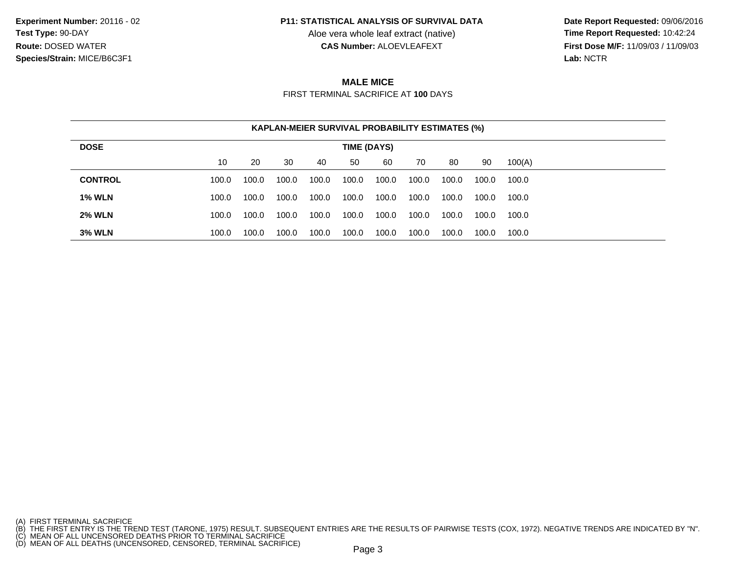Aloe vera whole leaf extract (native)<br>**CAS Number:** ALOEVLEAFEXT

 **Date Report Requested:** 09/06/2016 **First Dose M/F:** 11/09/03 / 11/09/03<br>Lab: NCTR **Lab:** NCTR

# **MALE MICE**

FIRST TERMINAL SACRIFICE AT **100** DAYS

|                | <b>KAPLAN-MEIER SURVIVAL PROBABILITY ESTIMATES (%)</b> |       |       |       |       |       |       |       |       |        |
|----------------|--------------------------------------------------------|-------|-------|-------|-------|-------|-------|-------|-------|--------|
| <b>DOSE</b>    | TIME (DAYS)                                            |       |       |       |       |       |       |       |       |        |
|                | 10                                                     | 20    | 30    | 40    | 50    | 60    | 70    | 80    | 90    | 100(A) |
| <b>CONTROL</b> | 100.0                                                  | 100.0 | 100.0 | 100.0 | 100.0 | 100.0 | 100.0 | 100.0 | 100.0 | 100.0  |
| <b>1% WLN</b>  | 100.0                                                  | 100.0 | 100.0 | 100.0 | 100.0 | 100.0 | 100.0 | 100.0 | 100.0 | 100.0  |
| <b>2% WLN</b>  | 100.0                                                  | 100.0 | 100.0 | 100.0 | 100.0 | 100.0 | 100.0 | 100.0 | 100.0 | 100.0  |
| <b>3% WLN</b>  | 100.0                                                  | 100.0 | 100.0 | 100.0 | 100.0 | 100.0 | 100.0 | 100.0 | 100.0 | 100.0  |

<sup>(</sup>A) FIRST TERMINAL SACRIFICE<br>(B) THE FIRST ENTRY IS THE TREND TEST (TARONE, 1975) RESULT. SUBSEQUENT ENTRIES ARE THE RESULTS OF PAIRWISE TESTS (COX, 1972). NEGATIVE TRENDS ARE INDICATED BY "N".<br>(C) MEAN OF ALL UNCENSORED D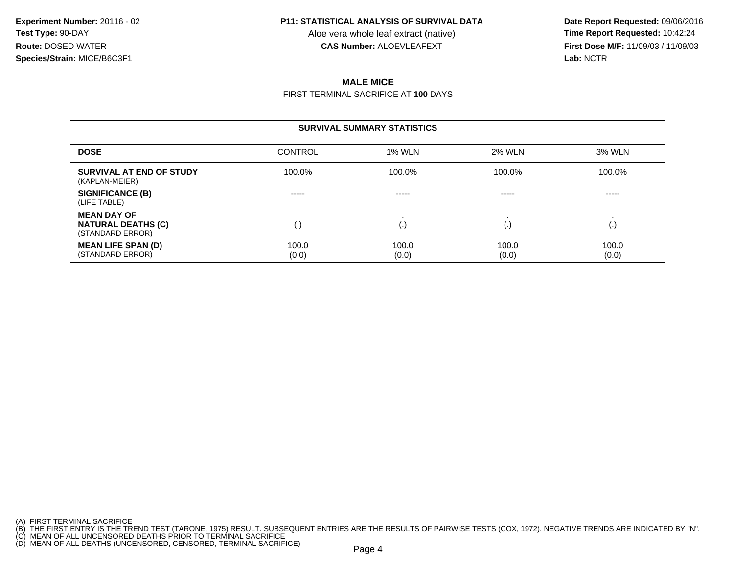Aloe vera whole leaf extract (native)<br>**CAS Number:** ALOEVLEAFEXT

 **Date Report Requested:** 09/06/2016 **First Dose M/F:** 11/09/03 / 11/09/03<br>**Lab:** NCTR **Lab:** NCTR

# **MALE MICE**

FIRST TERMINAL SACRIFICE AT **100** DAYS

#### **SURVIVAL SUMMARY STATISTICSDOSEE** CONTROL 1% WLN N 2% WLN 3% WLN **SURVIVAL AT END OF STUDY** 100.0%% 100.0% 100.0% 100.0% 100.0% 100.0% (KAPLAN-MEIER)**SIGNIFICANCE (B)** ----- ----- ----- ----- (LIFE TABLE)**MEAN DAY OF** . . . . **NATURAL DEATHS (C)** (.) (.) (.) (.) (STANDARD ERROR)**MEAN LIFE SPAN (D)** 100.00 100.0 100.0 100.0 100.0 100.0 (STANDARD ERROR) (0.0) $(0.0)$   $(0.0)$   $(0.0)$   $(0.0)$

(A) FIRST TERMINAL SACRIFICE

<sup>(</sup>B) THE FIRST ENTRY IS THE TREND TEST (TARONE, 1975) RESULT. SUBSEQUENT ENTRIES ARE THE RESULTS OF PAIRWISE TESTS (COX, 1972). NEGATIVE TRENDS ARE INDICATED BY "N".<br>(C) MEAN OF ALL UNCENSORED DEATHS PRIOR TO TERMINAL SACRI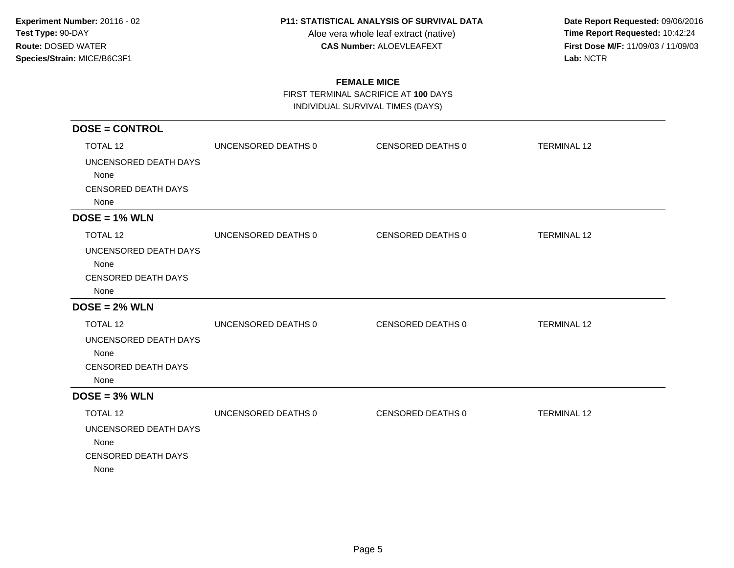Aloe vera whole leaf extract (native)<br>**CAS Number:** ALOEVLEAFEXT

 **Date Report Requested:** 09/06/2016 **First Dose M/F:** 11/09/03 / 11/09/03<br>Lab: NCTR **Lab:** NCTR

# **FEMALE MICE**

FIRST TERMINAL SACRIFICE AT **100** DAYS

INDIVIDUAL SURVIVAL TIMES (DAYS)

| $DOSE = CONTROL$                                                    |                     |                   |                    |
|---------------------------------------------------------------------|---------------------|-------------------|--------------------|
| <b>TOTAL 12</b>                                                     | UNCENSORED DEATHS 0 | CENSORED DEATHS 0 | <b>TERMINAL 12</b> |
| UNCENSORED DEATH DAYS<br>None<br><b>CENSORED DEATH DAYS</b><br>None |                     |                   |                    |
| $DOSE = 1% WLN$                                                     |                     |                   |                    |
| <b>TOTAL 12</b>                                                     | UNCENSORED DEATHS 0 | CENSORED DEATHS 0 | <b>TERMINAL 12</b> |
| UNCENSORED DEATH DAYS<br>None<br><b>CENSORED DEATH DAYS</b><br>None |                     |                   |                    |
| $DOSE = 2% WLN$                                                     |                     |                   |                    |
| <b>TOTAL 12</b>                                                     | UNCENSORED DEATHS 0 | CENSORED DEATHS 0 | <b>TERMINAL 12</b> |
| UNCENSORED DEATH DAYS<br>None<br><b>CENSORED DEATH DAYS</b><br>None |                     |                   |                    |
| $DOSE = 3% WLN$                                                     |                     |                   |                    |
| <b>TOTAL 12</b>                                                     | UNCENSORED DEATHS 0 | CENSORED DEATHS 0 | <b>TERMINAL 12</b> |
| UNCENSORED DEATH DAYS<br>None<br><b>CENSORED DEATH DAYS</b><br>None |                     |                   |                    |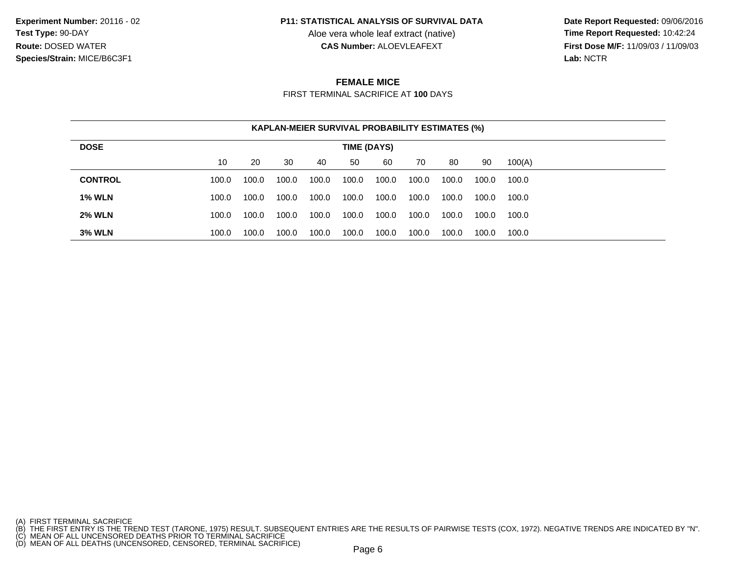Aloe vera whole leaf extract (native)<br>**CAS Number:** ALOEVLEAFEXT

 **Date Report Requested:** 09/06/2016 **First Dose M/F:** 11/09/03 / 11/09/03<br>Lab: NCTR **Lab:** NCTR

## **FEMALE MICE**

FIRST TERMINAL SACRIFICE AT **100** DAYS

|                | <b>KAPLAN-MEIER SURVIVAL PROBABILITY ESTIMATES (%)</b> |       |       |       |       |       |       |       |       |        |
|----------------|--------------------------------------------------------|-------|-------|-------|-------|-------|-------|-------|-------|--------|
| <b>DOSE</b>    | TIME (DAYS)                                            |       |       |       |       |       |       |       |       |        |
|                | 10                                                     | 20    | 30    | 40    | 50    | 60    | 70    | 80    | 90    | 100(A) |
| <b>CONTROL</b> | 100.0                                                  | 100.0 | 100.0 | 100.0 | 100.0 | 100.0 | 100.0 | 100.0 | 100.0 | 100.0  |
| <b>1% WLN</b>  | 100.0                                                  | 100.0 | 100.0 | 100.0 | 100.0 | 100.0 | 100.0 | 100.0 | 100.0 | 100.0  |
| <b>2% WLN</b>  | 100.0                                                  | 100.0 | 100.0 | 100.0 | 100.0 | 100.0 | 100.0 | 100.0 | 100.0 | 100.0  |
| <b>3% WLN</b>  | 100.0                                                  | 100.0 | 100.0 | 100.0 | 100.0 | 100.0 | 100.0 | 100.0 | 100.0 | 100.0  |

<sup>(</sup>A) FIRST TERMINAL SACRIFICE<br>(B) THE FIRST ENTRY IS THE TREND TEST (TARONE, 1975) RESULT. SUBSEQUENT ENTRIES ARE THE RESULTS OF PAIRWISE TESTS (COX, 1972). NEGATIVE TRENDS ARE INDICATED BY "N".<br>(C) MEAN OF ALL UNCENSORED D